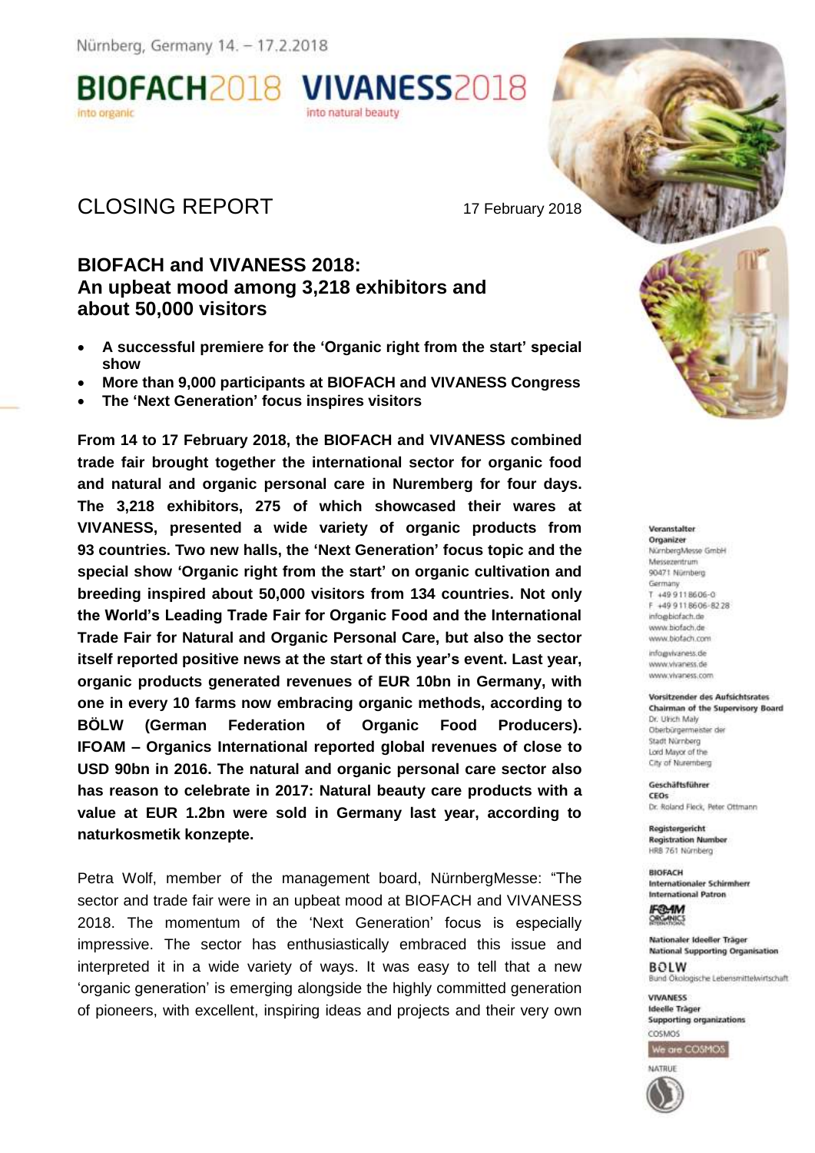Nürnberg, Germany 14. - 17.2.2018



# CLOSING REPORT 17 February 2018

# **BIOFACH and VIVANESS 2018: An upbeat mood among 3,218 exhibitors and about 50,000 visitors**

- **A successful premiere for the 'Organic right from the start' special show**
- **More than 9,000 participants at BIOFACH and VIVANESS Congress**
- **The 'Next Generation' focus inspires visitors**

**From 14 to 17 February 2018, the BIOFACH and VIVANESS combined trade fair brought together the international sector for organic food and natural and organic personal care in Nuremberg for four days. The 3,218 exhibitors, 275 of which showcased their wares at VIVANESS, presented a wide variety of organic products from 93 countries. Two new halls, the 'Next Generation' focus topic and the special show 'Organic right from the start' on organic cultivation and breeding inspired about 50,000 visitors from 134 countries. Not only the World's Leading Trade Fair for Organic Food and the International Trade Fair for Natural and Organic Personal Care, but also the sector itself reported positive news at the start of this year's event. Last year, organic products generated revenues of EUR 10bn in Germany, with one in every 10 farms now embracing organic methods, according to BÖLW (German Federation of Organic Food Producers). IFOAM – Organics International reported global revenues of close to USD 90bn in 2016. The natural and organic personal care sector also has reason to celebrate in 2017: Natural beauty care products with a value at EUR 1.2bn were sold in Germany last year, according to naturkosmetik konzepte.** 

Petra Wolf, member of the management board, NürnbergMesse: "The sector and trade fair were in an upbeat mood at BIOFACH and VIVANESS 2018. The momentum of the 'Next Generation' focus is especially impressive. The sector has enthusiastically embraced this issue and interpreted it in a wide variety of ways. It was easy to tell that a new 'organic generation' is emerging alongside the highly committed generation of pioneers, with excellent, inspiring ideas and projects and their very own



#### Versnetalfer

Organizer NürnbergMesse GmbH Messezentrum 90471 Nürriberg Germany T +499118606-0 F +49 911 8606-8228 info@biofach.de www.biofach.de www.biofach.com info@vivaness.de

www.vivaness.de www.vivaness.com

#### Vorsitzender des Aufsichtsrates Chairman of the Supervisory Board

Dr. Bloch Malv Oberbürgermeister de Stadt Nürnberg Lord Mayor of the City of Nuremberg

Geschäftsführer **CEOs** Dr. Roland Fleck, Peter Ottmann

Registergericht **Registration Number** HRR 761 Nümberg

BIOFACH Internationaler Schirmherr **International Patron** 



Nationaler Ideeller Träger **National Supporting Organisation** 

**BOLW** Bund Ökolonische Lebensmittelwirtschaft

**VIVANESS Ideelle Träger Supporting organizations** COSMOS

We are COSMOS